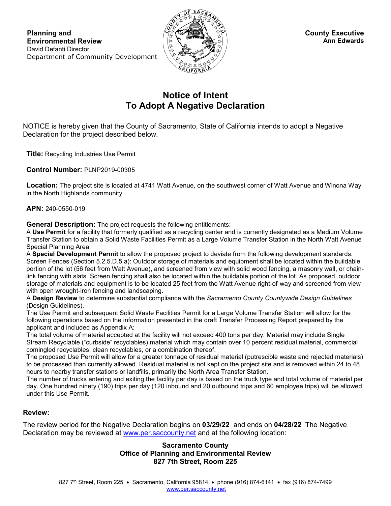

## **Notice of Intent To Adopt A Negative Declaration**

NOTICE is hereby given that the County of Sacramento, State of California intends to adopt a Negative Declaration for the project described below.

**Title:** Recycling Industries Use Permit

**Control Number:** PLNP2019-00305

**Location:** The project site is located at 4741 Watt Avenue, on the southwest corner of Watt Avenue and Winona Way in the North Highlands community

**APN:** 240-0550-019

**General Description:** The project requests the following entitlements:

A **Use Permit** for a facility that formerly qualified as a recycling center and is currently designated as a Medium Volume Transfer Station to obtain a Solid Waste Facilities Permit as a Large Volume Transfer Station in the North Watt Avenue Special Planning Area.

A **Special Development Permit** to allow the proposed project to deviate from the following development standards: Screen Fences (Section 5.2.5.D.5.a): Outdoor storage of materials and equipment shall be located within the buildable portion of the lot (56 feet from Watt Avenue), and screened from view with solid wood fencing, a masonry wall, or chainlink fencing with slats. Screen fencing shall also be located within the buildable portion of the lot. As proposed, outdoor storage of materials and equipment is to be located 25 feet from the Watt Avenue right-of-way and screened from view with open wrought-iron fencing and landscaping.

A **Design Review** to determine substantial compliance with the *Sacramento County Countywide Design Guidelines* (Design Guidelines).

The Use Permit and subsequent Solid Waste Facilities Permit for a Large Volume Transfer Station will allow for the following operations based on the information presented in the draft Transfer Processing Report prepared by the applicant and included as Appendix A:

The total volume of material accepted at the facility will not exceed 400 tons per day. Material may include Single Stream Recyclable ("curbside" recyclables) material which may contain over 10 percent residual material, commercial comingled recyclables, clean recyclables, or a combination thereof.

The proposed Use Permit will allow for a greater tonnage of residual material (putrescible waste and rejected materials) to be processed than currently allowed. Residual material is not kept on the project site and is removed within 24 to 48 hours to nearby transfer stations or landfills, primarily the North Area Transfer Station.

The number of trucks entering and exiting the facility per day is based on the truck type and total volume of material per day. One hundred ninety (190) trips per day (120 inbound and 20 outbound trips and 60 employee trips) will be allowed under this Use Permit.

## **Review:**

The review period for the Negative Declaration begins on **03/29/22** and ends on **04/28/22** The Negative Declaration may be reviewed at [www.per.saccounty.net](http://www.per.saccounty.net/) and at the following location:

## **Sacramento County Office of Planning and Environmental Review 827 7th Street, Room 225**